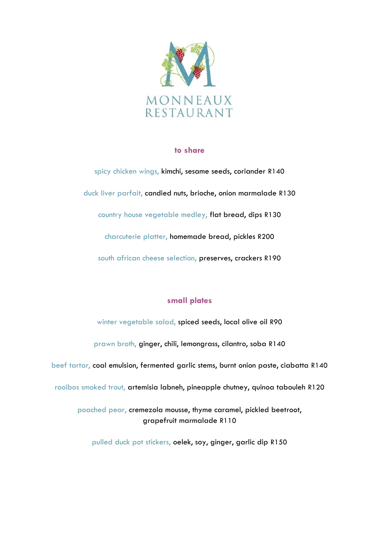

## **to share**

spicy chicken wings, kimchi, sesame seeds, coriander R140 duck liver parfait, candied nuts, brioche, onion marmalade R130 country house vegetable medley, flat bread, dips R130 charcuterie platter, homemade bread, pickles R200 south african cheese selection, preserves, crackers R190

## **small plates**

winter vegetable salad, spiced seeds, local olive oil R90 prawn broth, ginger, chili, lemongrass, cilantro, soba R140 beef tartar, coal emulsion, fermented garlic stems, burnt onion paste, ciabatta R140 rooibos smoked trout, artemisia labneh, pineapple chutney, quinoa tabouleh R120 poached pear, cremezola mousse, thyme caramel, pickled beetroot, grapefruit marmalade R110

pulled duck pot stickers, oelek, soy, ginger, garlic dip R150